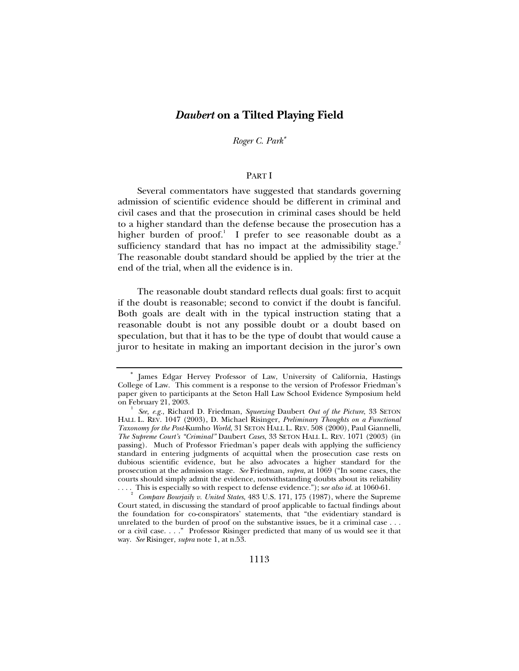# *Daubert* **on a Tilted Playing Field**

*Roger C. Park*<sup>∗</sup>

#### PART I

Several commentators have suggested that standards governing admission of scientific evidence should be different in criminal and civil cases and that the prosecution in criminal cases should be held to a higher standard than the defense because the prosecution has a higher burden of proof.<sup>1</sup> I prefer to see reasonable doubt as a sufficiency standard that has no impact at the admissibility stage.<sup>2</sup> The reasonable doubt standard should be applied by the trier at the end of the trial, when all the evidence is in.

The reasonable doubt standard reflects dual goals: first to acquit if the doubt is reasonable; second to convict if the doubt is fanciful. Both goals are dealt with in the typical instruction stating that a reasonable doubt is not any possible doubt or a doubt based on speculation, but that it has to be the type of doubt that would cause a juror to hesitate in making an important decision in the juror's own

<sup>∗</sup> James Edgar Hervey Professor of Law, University of California, Hastings College of Law. This comment is a response to the version of Professor Friedman's paper given to participants at the Seton Hall Law School Evidence Symposium held on February 21, 2003. 1

*See, e.g.*, Richard D. Friedman, *Squeezing* Daubert *Out of the Picture*, 33 SETON HALL L. REV. 1047 (2003), D. Michael Risinger, *Preliminary Thoughts on a Functional Taxonomy for the Post-*Kumho *World*, 31 SETON HALL L. REV. 508 (2000), Paul Giannelli, *The Supreme Court's "Criminal"* Daubert *Cases*, 33 SETON HALL L. REV. 1071 (2003) (in passing). Much of Professor Friedman's paper deals with applying the sufficiency standard in entering judgments of acquittal when the prosecution case rests on dubious scientific evidence, but he also advocates a higher standard for the prosecution at the admission stage. *See* Friedman, *supra*, at 1069 ("In some cases, the courts should simply admit the evidence, notwithstanding doubts about its reliability

<sup>....</sup> This is especially so with respect to defense evidence."); *see also id.* at 1060-61.<br><sup>2</sup> *Compare Bourjaily v. United States*, 483 U.S. 171, 175 (1987), where the Supreme Court stated, in discussing the standard of proof applicable to factual findings about the foundation for co-conspirators' statements, that "the evidentiary standard is unrelated to the burden of proof on the substantive issues, be it a criminal case . . . or a civil case. . . ." Professor Risinger predicted that many of us would see it that way. *See* Risinger, *supra* note 1, at n.53.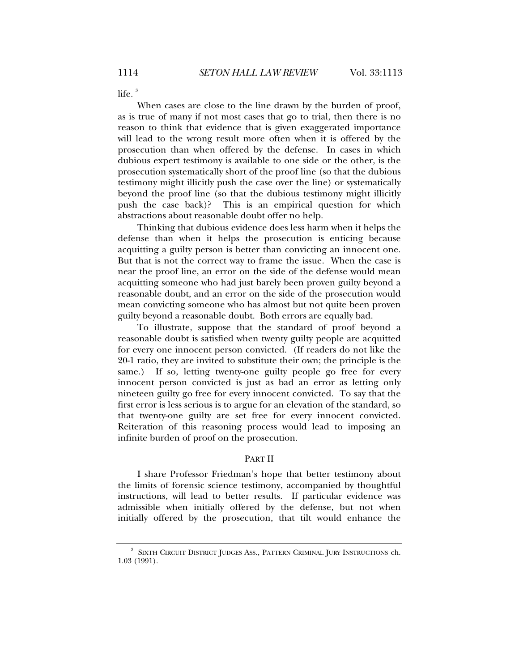life. $3$ 

When cases are close to the line drawn by the burden of proof, as is true of many if not most cases that go to trial, then there is no reason to think that evidence that is given exaggerated importance will lead to the wrong result more often when it is offered by the prosecution than when offered by the defense. In cases in which dubious expert testimony is available to one side or the other, is the prosecution systematically short of the proof line (so that the dubious testimony might illicitly push the case over the line) or systematically beyond the proof line (so that the dubious testimony might illicitly push the case back)? This is an empirical question for which abstractions about reasonable doubt offer no help.

Thinking that dubious evidence does less harm when it helps the defense than when it helps the prosecution is enticing because acquitting a guilty person is better than convicting an innocent one. But that is not the correct way to frame the issue. When the case is near the proof line, an error on the side of the defense would mean acquitting someone who had just barely been proven guilty beyond a reasonable doubt, and an error on the side of the prosecution would mean convicting someone who has almost but not quite been proven guilty beyond a reasonable doubt. Both errors are equally bad.

To illustrate, suppose that the standard of proof beyond a reasonable doubt is satisfied when twenty guilty people are acquitted for every one innocent person convicted. (If readers do not like the 20-1 ratio, they are invited to substitute their own; the principle is the same.) If so, letting twenty-one guilty people go free for every innocent person convicted is just as bad an error as letting only nineteen guilty go free for every innocent convicted. To say that the first error is less serious is to argue for an elevation of the standard, so that twenty-one guilty are set free for every innocent convicted. Reiteration of this reasoning process would lead to imposing an infinite burden of proof on the prosecution.

### PART II

I share Professor Friedman's hope that better testimony about the limits of forensic science testimony, accompanied by thoughtful instructions, will lead to better results. If particular evidence was admissible when initially offered by the defense, but not when initially offered by the prosecution, that tilt would enhance the

<sup>3</sup> SIXTH CIRCUIT DISTRICT JUDGES ASS., PATTERN CRIMINAL JURY INSTRUCTIONS ch. 1.03 (1991).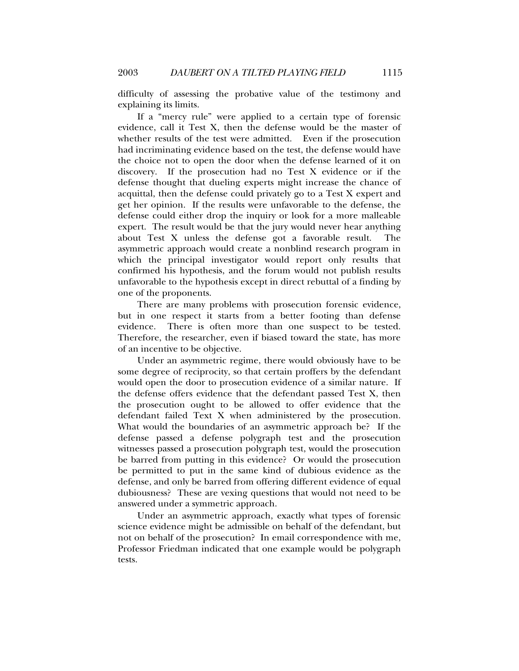difficulty of assessing the probative value of the testimony and explaining its limits.

If a "mercy rule" were applied to a certain type of forensic evidence, call it Test X, then the defense would be the master of whether results of the test were admitted. Even if the prosecution had incriminating evidence based on the test, the defense would have the choice not to open the door when the defense learned of it on discovery. If the prosecution had no Test X evidence or if the defense thought that dueling experts might increase the chance of acquittal, then the defense could privately go to a Test X expert and get her opinion. If the results were unfavorable to the defense, the defense could either drop the inquiry or look for a more malleable expert. The result would be that the jury would never hear anything about Test X unless the defense got a favorable result. The asymmetric approach would create a nonblind research program in which the principal investigator would report only results that confirmed his hypothesis, and the forum would not publish results unfavorable to the hypothesis except in direct rebuttal of a finding by one of the proponents.

There are many problems with prosecution forensic evidence, but in one respect it starts from a better footing than defense evidence. There is often more than one suspect to be tested. Therefore, the researcher, even if biased toward the state, has more of an incentive to be objective.

Under an asymmetric regime, there would obviously have to be some degree of reciprocity, so that certain proffers by the defendant would open the door to prosecution evidence of a similar nature. If the defense offers evidence that the defendant passed Test X, then the prosecution ought to be allowed to offer evidence that the defendant failed Text X when administered by the prosecution. What would the boundaries of an asymmetric approach be? If the defense passed a defense polygraph test and the prosecution witnesses passed a prosecution polygraph test, would the prosecution be barred from putting in this evidence? Or would the prosecution be permitted to put in the same kind of dubious evidence as the defense, and only be barred from offering different evidence of equal dubiousness? These are vexing questions that would not need to be answered under a symmetric approach.

Under an asymmetric approach, exactly what types of forensic science evidence might be admissible on behalf of the defendant, but not on behalf of the prosecution? In email correspondence with me, Professor Friedman indicated that one example would be polygraph tests.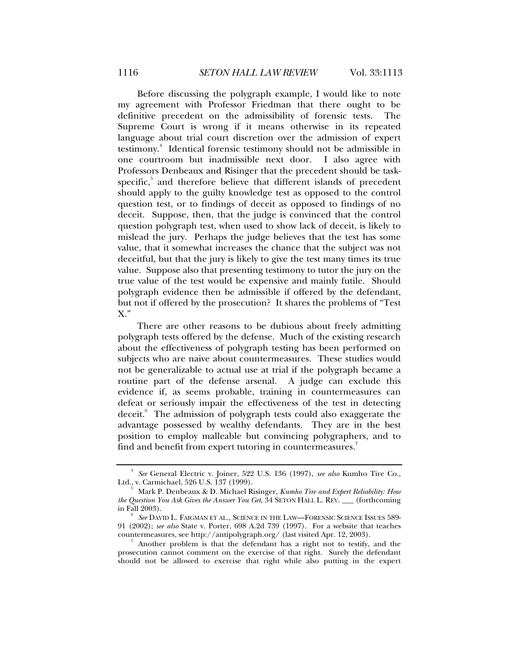Before discussing the polygraph example, I would like to note my agreement with Professor Friedman that there ought to be definitive precedent on the admissibility of forensic tests. The Supreme Court is wrong if it means otherwise in its repeated language about trial court discretion over the admission of expert testimony.<sup>4</sup> Identical forensic testimony should not be admissible in one courtroom but inadmissible next door. I also agree with Professors Denbeaux and Risinger that the precedent should be taskspecific,<sup>5</sup> and therefore believe that different islands of precedent should apply to the guilty knowledge test as opposed to the control question test, or to findings of deceit as opposed to findings of no deceit. Suppose, then, that the judge is convinced that the control question polygraph test, when used to show lack of deceit, is likely to mislead the jury. Perhaps the judge believes that the test has some value, that it somewhat increases the chance that the subject was not deceitful, but that the jury is likely to give the test many times its true value. Suppose also that presenting testimony to tutor the jury on the true value of the test would be expensive and mainly futile. Should polygraph evidence then be admissible if offered by the defendant, but not if offered by the prosecution? It shares the problems of "Test X."

There are other reasons to be dubious about freely admitting polygraph tests offered by the defense. Much of the existing research about the effectiveness of polygraph testing has been performed on subjects who are naive about countermeasures. These studies would not be generalizable to actual use at trial if the polygraph became a routine part of the defense arsenal. A judge can exclude this evidence if, as seems probable, training in countermeasures can defeat or seriously impair the effectiveness of the test in detecting deceit.<sup>6</sup> The admission of polygraph tests could also exaggerate the advantage possessed by wealthy defendants. They are in the best position to employ malleable but convincing polygraphers, and to find and benefit from expert tutoring in countermeasures.<sup>7</sup>

<sup>4</sup>  *See* General Electric v. Joiner, 522 U.S. 136 (1997), *see also* Kumho Tire Co., Ltd., v. Carmichael, 526 U.S. 137 (1999).

Mark P. Denbeaux & D. Michael Risinger, *Kumho Tire and Expert Reliability: How the Question You Ask Gives the Answer You Get*, 34 SETON HALL L. REV. \_\_\_ (forthcoming in Fall  $2003$ ).

*See* DAVID L. FAIGMAN ET AL., SCIENCE IN THE LAW—FORENSIC SCIENCE ISSUES 589- 91 (2002); *see also* State v. Porter, 698 A.2d 739 (1997). For a website that teaches countermeasures, see http://antipolygraph.org/ (last visited Apr. 12, 2003).

Another problem is that the defendant has a right not to testify, and the prosecution cannot comment on the exercise of that right. Surely the defendant should not be allowed to exercise that right while also putting in the expert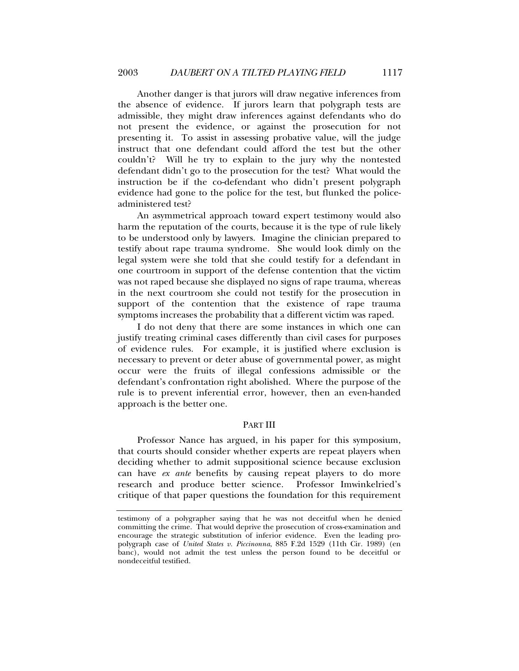Another danger is that jurors will draw negative inferences from the absence of evidence. If jurors learn that polygraph tests are admissible, they might draw inferences against defendants who do not present the evidence, or against the prosecution for not presenting it. To assist in assessing probative value, will the judge instruct that one defendant could afford the test but the other couldn't? Will he try to explain to the jury why the nontested defendant didn't go to the prosecution for the test? What would the instruction be if the co-defendant who didn't present polygraph evidence had gone to the police for the test, but flunked the policeadministered test?

An asymmetrical approach toward expert testimony would also harm the reputation of the courts, because it is the type of rule likely to be understood only by lawyers. Imagine the clinician prepared to testify about rape trauma syndrome. She would look dimly on the legal system were she told that she could testify for a defendant in one courtroom in support of the defense contention that the victim was not raped because she displayed no signs of rape trauma, whereas in the next courtroom she could not testify for the prosecution in support of the contention that the existence of rape trauma symptoms increases the probability that a different victim was raped.

I do not deny that there are some instances in which one can justify treating criminal cases differently than civil cases for purposes of evidence rules. For example, it is justified where exclusion is necessary to prevent or deter abuse of governmental power, as might occur were the fruits of illegal confessions admissible or the defendant's confrontation right abolished. Where the purpose of the rule is to prevent inferential error, however, then an even-handed approach is the better one.

## PART III

Professor Nance has argued, in his paper for this symposium, that courts should consider whether experts are repeat players when deciding whether to admit suppositional science because exclusion can have *ex ante* benefits by causing repeat players to do more research and produce better science. Professor Imwinkelried's critique of that paper questions the foundation for this requirement

testimony of a polygrapher saying that he was not deceitful when he denied committing the crime. That would deprive the prosecution of cross-examination and encourage the strategic substitution of inferior evidence. Even the leading propolygraph case of *United States v. Piccinonna*, 885 F.2d 1529 (11th Cir. 1989) (en banc), would not admit the test unless the person found to be deceitful or nondeceitful testified.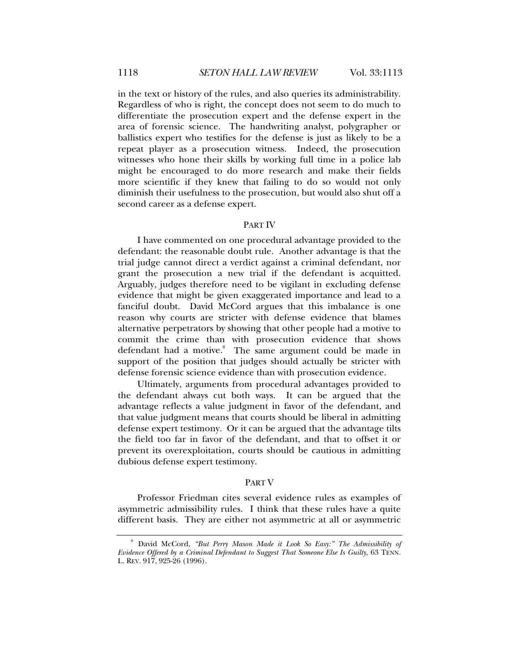in the text or history of the rules, and also queries its administrability. Regardless of who is right, the concept does not seem to do much to differentiate the prosecution expert and the defense expert in the area of forensic science. The handwriting analyst, polygrapher or ballistics expert who testifies for the defense is just as likely to be a repeat player as a prosecution witness. Indeed, the prosecution witnesses who hone their skills by working full time in a police lab might be encouraged to do more research and make their fields more scientific if they knew that failing to do so would not only diminish their usefulness to the prosecution, but would also shut off a second career as a defense expert.

#### PART IV

I have commented on one procedural advantage provided to the defendant: the reasonable doubt rule. Another advantage is that the trial judge cannot direct a verdict against a criminal defendant, nor grant the prosecution a new trial if the defendant is acquitted. Arguably, judges therefore need to be vigilant in excluding defense evidence that might be given exaggerated importance and lead to a fanciful doubt. David McCord argues that this imbalance is one reason why courts are stricter with defense evidence that blames alternative perpetrators by showing that other people had a motive to commit the crime than with prosecution evidence that shows defendant had a motive.<sup>8</sup> The same argument could be made in support of the position that judges should actually be stricter with defense forensic science evidence than with prosecution evidence.

Ultimately, arguments from procedural advantages provided to the defendant always cut both ways. It can be argued that the advantage reflects a value judgment in favor of the defendant, and that value judgment means that courts should be liberal in admitting defense expert testimony. Or it can be argued that the advantage tilts the field too far in favor of the defendant, and that to offset it or prevent its overexploitation, courts should be cautious in admitting dubious defense expert testimony.

#### PART V

Professor Friedman cites several evidence rules as examples of asymmetric admissibility rules. I think that these rules have a quite different basis. They are either not asymmetric at all or asymmetric

<sup>8</sup> David McCord, *"But Perry Mason Made it Look So Easy:" The Admissibility of Evidence Offered by a Criminal Defendant to Suggest That Someone Else Is Guilty*, 63 TENN. L. REV. 917, 925-26 (1996).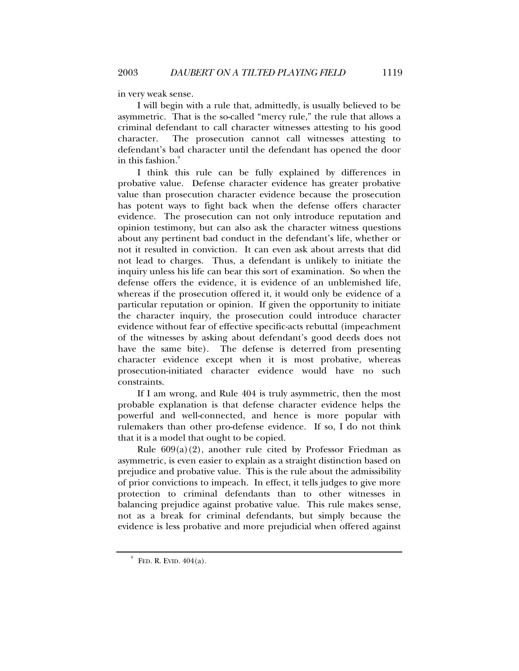in very weak sense.

I will begin with a rule that, admittedly, is usually believed to be asymmetric. That is the so-called "mercy rule," the rule that allows a criminal defendant to call character witnesses attesting to his good character. The prosecution cannot call witnesses attesting to defendant's bad character until the defendant has opened the door in this fashion.

I think this rule can be fully explained by differences in probative value. Defense character evidence has greater probative value than prosecution character evidence because the prosecution has potent ways to fight back when the defense offers character evidence. The prosecution can not only introduce reputation and opinion testimony, but can also ask the character witness questions about any pertinent bad conduct in the defendant's life, whether or not it resulted in conviction. It can even ask about arrests that did not lead to charges. Thus, a defendant is unlikely to initiate the inquiry unless his life can bear this sort of examination. So when the defense offers the evidence, it is evidence of an unblemished life, whereas if the prosecution offered it, it would only be evidence of a particular reputation or opinion. If given the opportunity to initiate the character inquiry, the prosecution could introduce character evidence without fear of effective specific-acts rebuttal (impeachment of the witnesses by asking about defendant's good deeds does not have the same bite). The defense is deterred from presenting character evidence except when it is most probative, whereas prosecution-initiated character evidence would have no such constraints.

If I am wrong, and Rule 404 is truly asymmetric, then the most probable explanation is that defense character evidence helps the powerful and well-connected, and hence is more popular with rulemakers than other pro-defense evidence. If so, I do not think that it is a model that ought to be copied.

Rule  $609(a)(2)$ , another rule cited by Professor Friedman as asymmetric, is even easier to explain as a straight distinction based on prejudice and probative value. This is the rule about the admissibility of prior convictions to impeach. In effect, it tells judges to give more protection to criminal defendants than to other witnesses in balancing prejudice against probative value. This rule makes sense, not as a break for criminal defendants, but simply because the evidence is less probative and more prejudicial when offered against

 $^9$  FED. R. EVID. 404(a).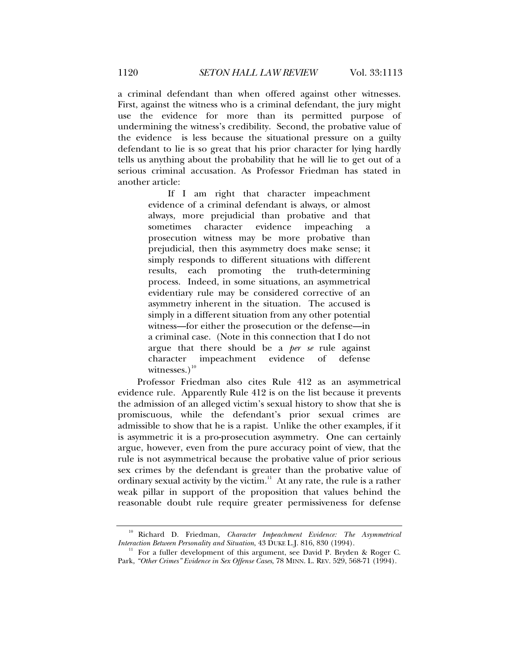a criminal defendant than when offered against other witnesses. First, against the witness who is a criminal defendant, the jury might use the evidence for more than its permitted purpose of undermining the witness's credibility. Second, the probative value of the evidence is less because the situational pressure on a guilty defendant to lie is so great that his prior character for lying hardly tells us anything about the probability that he will lie to get out of a serious criminal accusation. As Professor Friedman has stated in another article:

> If I am right that character impeachment evidence of a criminal defendant is always, or almost always, more prejudicial than probative and that sometimes character evidence impeaching a prosecution witness may be more probative than prejudicial, then this asymmetry does make sense; it simply responds to different situations with different results, each promoting the truth-determining process. Indeed, in some situations, an asymmetrical evidentiary rule may be considered corrective of an asymmetry inherent in the situation. The accused is simply in a different situation from any other potential witness—for either the prosecution or the defense—in a criminal case. (Note in this connection that I do not argue that there should be a *per se* rule against character impeachment evidence of defense witnesses.)<sup>10</sup>

Professor Friedman also cites Rule 412 as an asymmetrical evidence rule. Apparently Rule 412 is on the list because it prevents the admission of an alleged victim's sexual history to show that she is promiscuous, while the defendant's prior sexual crimes are admissible to show that he is a rapist. Unlike the other examples, if it is asymmetric it is a pro-prosecution asymmetry. One can certainly argue, however, even from the pure accuracy point of view, that the rule is not asymmetrical because the probative value of prior serious sex crimes by the defendant is greater than the probative value of ordinary sexual activity by the victim. $11$  At any rate, the rule is a rather weak pillar in support of the proposition that values behind the reasonable doubt rule require greater permissiveness for defense

<sup>10</sup> Richard D. Friedman, *Character Impeachment Evidence: The Asymmetrical Interaction Between Personality and Situation*, 43 DUKE L.J. 816, 830 (1994).<br><sup>11</sup> For a fuller development of this argument, see David P. Bryden & Roger C.

Park, *"Other Crimes" Evidence in Sex Offense Cases*, 78 MINN. L. REV. 529, 568-71 (1994).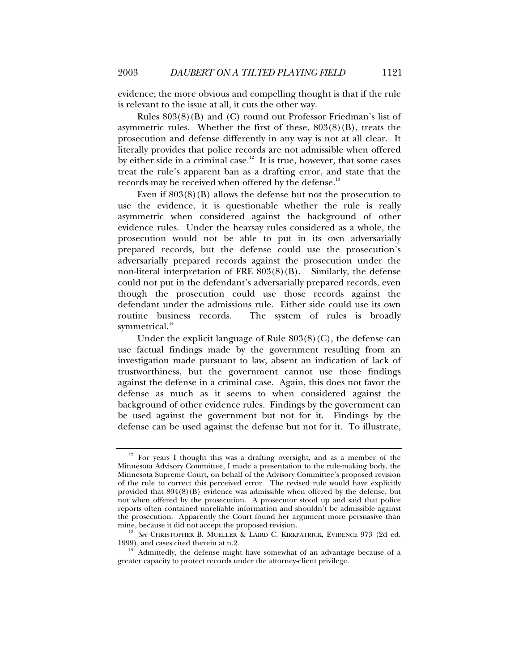evidence; the more obvious and compelling thought is that if the rule is relevant to the issue at all, it cuts the other way.

Rules 803(8)(B) and (C) round out Professor Friedman's list of asymmetric rules. Whether the first of these,  $803(8)(B)$ , treats the prosecution and defense differently in any way is not at all clear. It literally provides that police records are not admissible when offered by either side in a criminal case.<sup>12</sup> It is true, however, that some cases treat the rule's apparent ban as a drafting error, and state that the records may be received when offered by the defense.<sup>13</sup>

Even if  $803(8)(B)$  allows the defense but not the prosecution to use the evidence, it is questionable whether the rule is really asymmetric when considered against the background of other evidence rules. Under the hearsay rules considered as a whole, the prosecution would not be able to put in its own adversarially prepared records, but the defense could use the prosecution's adversarially prepared records against the prosecution under the non-literal interpretation of FRE 803(8)(B). Similarly, the defense could not put in the defendant's adversarially prepared records, even though the prosecution could use those records against the defendant under the admissions rule. Either side could use its own routine business records. The system of rules is broadly symmetrical.<sup>14</sup>

Under the explicit language of Rule 803(8)(C), the defense can use factual findings made by the government resulting from an investigation made pursuant to law, absent an indication of lack of trustworthiness, but the government cannot use those findings against the defense in a criminal case. Again, this does not favor the defense as much as it seems to when considered against the background of other evidence rules. Findings by the government can be used against the government but not for it. Findings by the defense can be used against the defense but not for it. To illustrate,

<sup>&</sup>lt;sup>12</sup> For years I thought this was a drafting oversight, and as a member of the Minnesota Advisory Committee, I made a presentation to the rule-making body, the Minnesota Supreme Court, on behalf of the Advisory Committee's proposed revision of the rule to correct this perceived error. The revised rule would have explicitly provided that  $804(8)(B)$  evidence was admissible when offered by the defense, but not when offered by the prosecution. A prosecutor stood up and said that police reports often contained unreliable information and shouldn't be admissible against the prosecution. Apparently the Court found her argument more persuasive than mine, because it did not accept the proposed revision.

mine, because it did not accept the proposed revision. 13 *See* CHRISTOPHER B. MUELLER & LAIRD C. KIRKPATRICK, EVIDENCE 973 (2d ed. 1999), and cases cited therein at n.2.  $14 \text{ Admittedly}$ , the defense might have somewhat of an advantage because of a

greater capacity to protect records under the attorney-client privilege.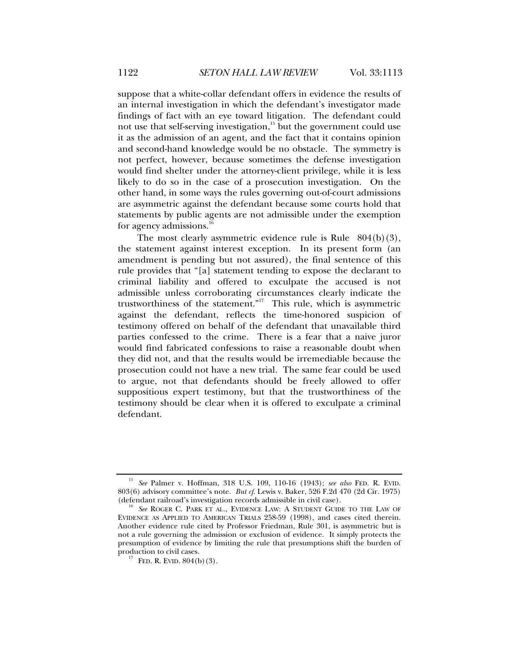suppose that a white-collar defendant offers in evidence the results of an internal investigation in which the defendant's investigator made findings of fact with an eye toward litigation. The defendant could not use that self-serving investigation, $15$  but the government could use it as the admission of an agent, and the fact that it contains opinion and second-hand knowledge would be no obstacle. The symmetry is not perfect, however, because sometimes the defense investigation would find shelter under the attorney-client privilege, while it is less likely to do so in the case of a prosecution investigation. On the other hand, in some ways the rules governing out-of-court admissions are asymmetric against the defendant because some courts hold that statements by public agents are not admissible under the exemption for agency admissions.<sup>1</sup>

The most clearly asymmetric evidence rule is Rule 804(b)(3), the statement against interest exception. In its present form (an amendment is pending but not assured), the final sentence of this rule provides that "[a] statement tending to expose the declarant to criminal liability and offered to exculpate the accused is not admissible unless corroborating circumstances clearly indicate the trustworthiness of the statement."<sup>17</sup> This rule, which is asymmetric against the defendant, reflects the time-honored suspicion of testimony offered on behalf of the defendant that unavailable third parties confessed to the crime. There is a fear that a naive juror would find fabricated confessions to raise a reasonable doubt when they did not, and that the results would be irremediable because the prosecution could not have a new trial. The same fear could be used to argue, not that defendants should be freely allowed to offer suppositious expert testimony, but that the trustworthiness of the testimony should be clear when it is offered to exculpate a criminal defendant.

<sup>15</sup> *See* Palmer v. Hoffman, 318 U.S. 109, 110-16 (1943); *see also* FED. R. EVID. 803(6) advisory committee's note. *But cf*. Lewis v. Baker, 526 F.2d 470 (2d Cir. 1975)

<sup>&</sup>lt;sup>16</sup> See ROGER C. PARK ET AL., EVIDENCE LAW: A STUDENT GUIDE TO THE LAW OF EVIDENCE AS APPLIED TO AMERICAN TRIALS 258-59 (1998), and cases cited therein. Another evidence rule cited by Professor Friedman, Rule 301, is asymmetric but is not a rule governing the admission or exclusion of evidence. It simply protects the presumption of evidence by limiting the rule that presumptions shift the burden of

<sup>&</sup>lt;sup>17</sup> FED. R. EVID.  $804(b)(3)$ .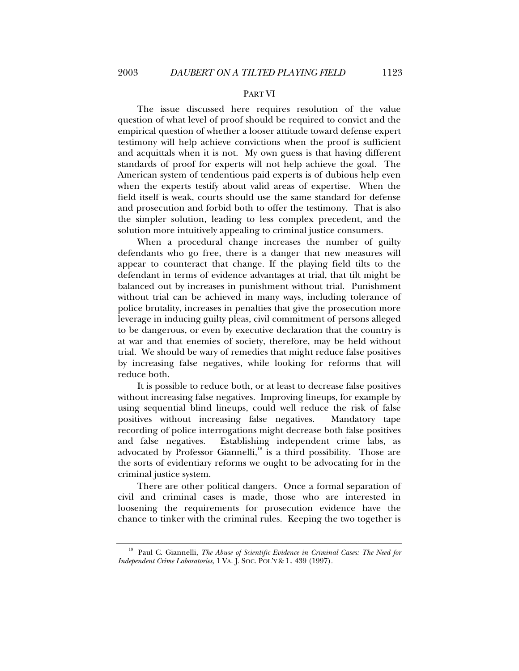#### PART VI

The issue discussed here requires resolution of the value question of what level of proof should be required to convict and the empirical question of whether a looser attitude toward defense expert testimony will help achieve convictions when the proof is sufficient and acquittals when it is not. My own guess is that having different standards of proof for experts will not help achieve the goal. The American system of tendentious paid experts is of dubious help even when the experts testify about valid areas of expertise. When the field itself is weak, courts should use the same standard for defense and prosecution and forbid both to offer the testimony. That is also the simpler solution, leading to less complex precedent, and the solution more intuitively appealing to criminal justice consumers.

When a procedural change increases the number of guilty defendants who go free, there is a danger that new measures will appear to counteract that change. If the playing field tilts to the defendant in terms of evidence advantages at trial, that tilt might be balanced out by increases in punishment without trial. Punishment without trial can be achieved in many ways, including tolerance of police brutality, increases in penalties that give the prosecution more leverage in inducing guilty pleas, civil commitment of persons alleged to be dangerous, or even by executive declaration that the country is at war and that enemies of society, therefore, may be held without trial. We should be wary of remedies that might reduce false positives by increasing false negatives, while looking for reforms that will reduce both.

It is possible to reduce both, or at least to decrease false positives without increasing false negatives. Improving lineups, for example by using sequential blind lineups, could well reduce the risk of false positives without increasing false negatives. Mandatory tape recording of police interrogations might decrease both false positives and false negatives. Establishing independent crime labs, as advocated by Professor Giannelli, $^{18}$  is a third possibility. Those are the sorts of evidentiary reforms we ought to be advocating for in the criminal justice system.

There are other political dangers. Once a formal separation of civil and criminal cases is made, those who are interested in loosening the requirements for prosecution evidence have the chance to tinker with the criminal rules. Keeping the two together is

<sup>&</sup>lt;sup>18</sup> Paul C. Giannelli, *The Abuse of Scientific Evidence in Criminal Cases: The Need for Independent Crime Laboratories*, 1 VA. J. SOC. POL'Y & L. 439 (1997).